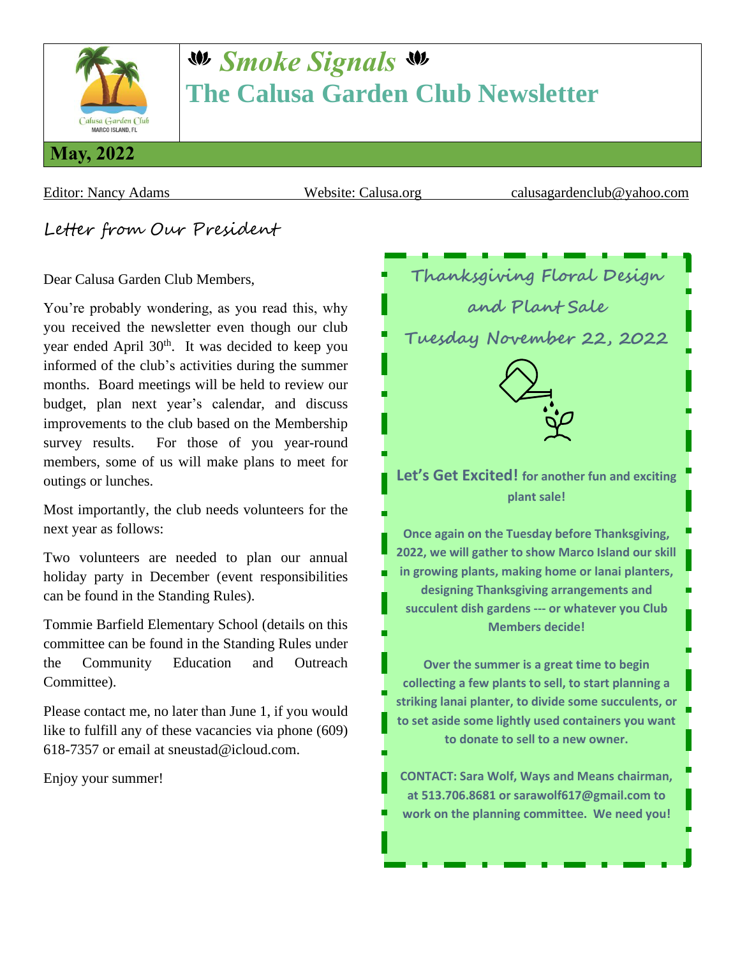

# *Smoke Signals* **The Calusa Garden Club Newsletter**

Editor: Nancy Adams Website: Calusa.org calusagardenclub@yahoo.com

Letter from Our President

Dear Calusa Garden Club Members,

You're probably wondering, as you read this, why you received the newsletter even though our club year ended April  $30<sup>th</sup>$ . It was decided to keep you informed of the club's activities during the summer months. Board meetings will be held to review our budget, plan next year's calendar, and discuss improvements to the club based on the Membership survey results. For those of you year-round members, some of us will make plans to meet for outings or lunches.

Most importantly, the club needs volunteers for the next year as follows:

Two volunteers are needed to plan our annual holiday party in December (event responsibilities can be found in the Standing Rules).

Tommie Barfield Elementary School (details on this committee can be found in the Standing Rules under the Community Education and Outreach Committee).

Please contact me, no later than June 1, if you would like to fulfill any of these vacancies via phone (609) 618-7357 or email at sneustad@icloud.com.

Enjoy your summer!

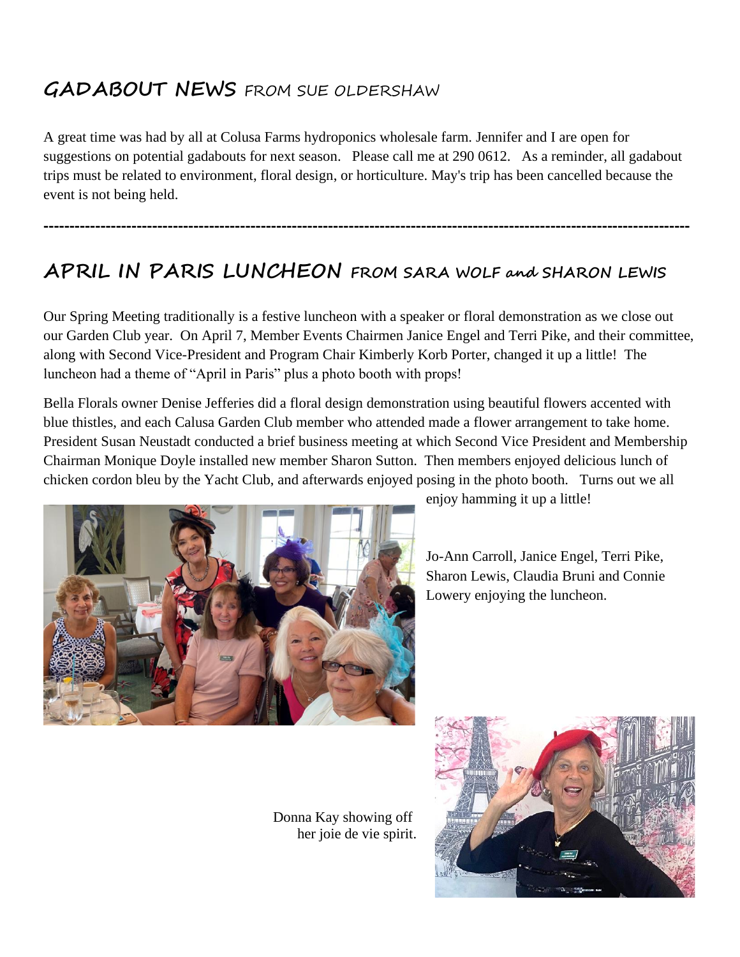### **GADABOUT NEWS** FROM SUE OLDERSHAW

A great time was had by all at Colusa Farms hydroponics wholesale farm. Jennifer and I are open for suggestions on potential gadabouts for next season. Please call me at 290 0612. As a reminder, all gadabout trips must be related to environment, floral design, or horticulture. May's trip has been cancelled because the event is not being held.

**-----------------------------------------------------------------------------------------------------------------------------**

## **APRIL IN PARIS LUNCHEON FROM SARA WOLF and SHARON LEWIS**

Our Spring Meeting traditionally is a festive luncheon with a speaker or floral demonstration as we close out our Garden Club year. On April 7, Member Events Chairmen Janice Engel and Terri Pike, and their committee, along with Second Vice-President and Program Chair Kimberly Korb Porter, changed it up a little! The luncheon had a theme of "April in Paris" plus a photo booth with props!

Bella Florals owner Denise Jefferies did a floral design demonstration using beautiful flowers accented with blue thistles, and each Calusa Garden Club member who attended made a flower arrangement to take home. President Susan Neustadt conducted a brief business meeting at which Second Vice President and Membership Chairman Monique Doyle installed new member Sharon Sutton. Then members enjoyed delicious lunch of chicken cordon bleu by the Yacht Club, and afterwards enjoyed posing in the photo booth. Turns out we all



enjoy hamming it up a little!

Jo-Ann Carroll, Janice Engel, Terri Pike, Sharon Lewis, Claudia Bruni and Connie Lowery enjoying the luncheon.

 Donna Kay showing off her joie de vie spirit.

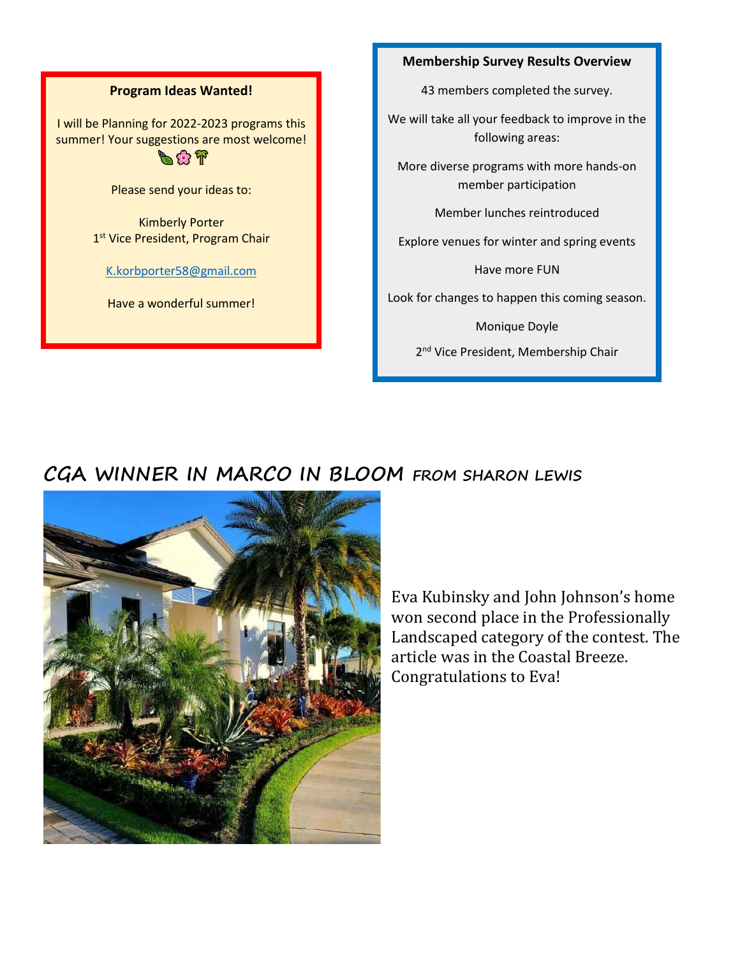#### **Program Ideas Wanted!**

I will be Planning for 2022-2023 programs this summer! Your suggestions are most welcome!  $\sim$   $\sim$   $\sim$ 

Please send your ideas to:

Kimberly Porter 1<sup>st</sup> Vice President, Program Chair

#### [K.korbporter58@gmail.com](mailto:K.korbporter58@gmail.com)

Have a wonderful summer!

#### **Membership Survey Results Overview**

43 members completed the survey.

We will take all your feedback to improve in the following areas:

More diverse programs with more hands-on member participation

Member lunches reintroduced

Explore venues for winter and spring events

Have more FUN

Look for changes to happen this coming season.

Monique Doyle

2<sup>nd</sup> Vice President, Membership Chair

### **CGA WINNER IN MARCO IN BLOOM FROM SHARON LEWIS**



Eva Kubinsky and John Johnson's home won second place in the Professionally Landscaped category of the contest. The article was in the Coastal Breeze. Congratulations to Eva!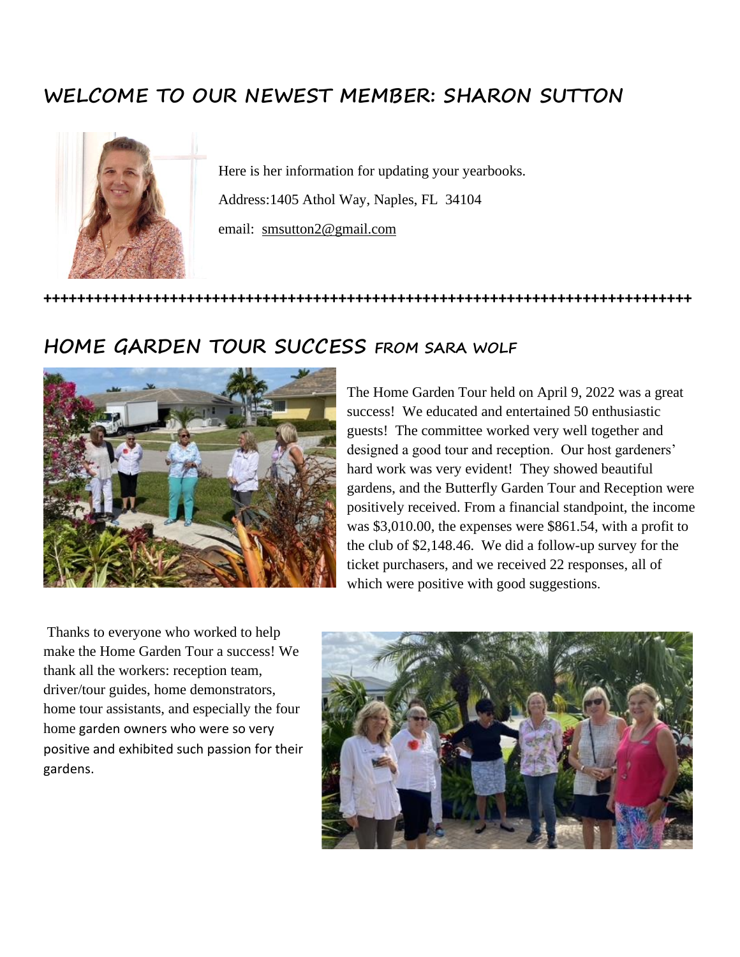### **WELCOME TO OUR NEWEST MEMBER: SHARON SUTTON**



Here is her information for updating your yearbooks. Address:1405 Athol Way, Naples, FL 34104 email: [smsutton2@gmail.com](mailto:smsutton2@gmail.com)

**+++++++++++++++++++++++++++++++++++++++++++++++++++++++++++++++++++++++++++++**

#### **HOME GARDEN TOUR SUCCESS FROM SARA WOLF**



The Home Garden Tour held on April 9, 2022 was a great success! We educated and entertained 50 enthusiastic guests! The committee worked very well together and designed a good tour and reception. Our host gardeners' hard work was very evident! They showed beautiful gardens, and the Butterfly Garden Tour and Reception were positively received. From a financial standpoint, the income was \$3,010.00, the expenses were \$861.54, with a profit to the club of \$2,148.46. We did a follow-up survey for the ticket purchasers, and we received 22 responses, all of which were positive with good suggestions.

Thanks to everyone who worked to help make the Home Garden Tour a success! We thank all the workers: reception team, driver/tour guides, home demonstrators, home tour assistants, and especially the four home garden owners who were so very positive and exhibited such passion for their gardens.